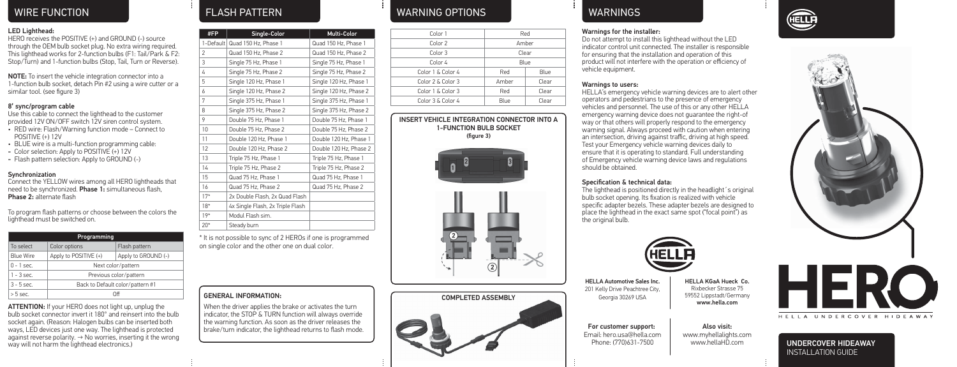### LED Lighthead:

HERO receives the POSITIVE (+) and GROUND (-) source through the OEM bulb socket plug. No extra wiring required. This lighthead works for 2-function bulbs (F1: Tail/Park & F2: Stop/Turn) and 1-function bulbs (Stop, Tail, Turn or Reverse).

NOTE: To insert the vehicle integration connector into a 1-function bulb socket, detach Pin #2 using a wire cutter or a similar tool. (see figure 3)

# 8' sync/program cable

Use this cable to connect the lighthead to the customer provided 12V ON/OFF switch 12V siren control system.

- RED wire: Flash/Warning function mode Connect to POSITIVE (+) 12V
- BLUE wire is a multi-function programming cable:
- Color selection: Apply to POSITIVE (+) 12V
- Flash pattern selection: Apply to GROUND (-)

## **Synchronization**

Connect the YELLOW wires among all HERO lightheads that need to be synchronized. Phase 1: simultaneous flash, Phase 2: alternate flash

To program flash patterns or choose between the colors the lighthead must be switched on.

| Programming      |                                  |                     |  |  |
|------------------|----------------------------------|---------------------|--|--|
| To select        | Color options                    | Flash pattern       |  |  |
| <b>Blue Wire</b> | Apply to POSITIVE (+)            | Apply to GROUND (-) |  |  |
| $0 - 1$ sec.     | Next color/pattern               |                     |  |  |
| $1 - 3$ sec.     | Previous color/pattern           |                     |  |  |
| $3 - 5$ sec.     | Back to Default color/pattern #1 |                     |  |  |
| $> 5$ sec.       | Ωff                              |                     |  |  |

ATTENTION: If your HERO does not light up, unplug the bulb socket connector invert it 180° and reinsert into the bulb socket again. (Reason: Halogen bulbs can be inserted both ways, LED devices just one way. The lighthead is protected against reverse polarity. → No worries, inserting it the wrong way will not harm the lighthead electronics.)

| #FP            | Single-Color                     | Multi-Color            |
|----------------|----------------------------------|------------------------|
|                | 1-Default Quad 150 Hz, Phase 1   | Quad 150 Hz, Phase 1   |
| $\overline{2}$ | Quad 150 Hz, Phase 2             | Quad 150 Hz, Phase 2   |
| 3              | Single 75 Hz, Phase 1            | Single 75 Hz, Phase 1  |
| 4              | Single 75 Hz, Phase 2            | Single 75 Hz, Phase 2  |
| 5              | Single 120 Hz, Phase 1           | Single 120 Hz, Phase 1 |
| 6              | Single 120 Hz, Phase 2           | Single 120 Hz, Phase 2 |
| 7              | Single 375 Hz, Phase 1           | Single 375 Hz, Phase 1 |
| 8              | Single 375 Hz, Phase 2           | Single 375 Hz, Phase 2 |
| 9              | Double 75 Hz, Phase 1            | Double 75 Hz, Phase 1  |
| 10             | Double 75 Hz, Phase 2            | Double 75 Hz, Phase 2  |
| 11             | Double 120 Hz. Phase 1           | Double 120 Hz, Phase 1 |
| 12             | Double 120 Hz, Phase 2           | Double 120 Hz. Phase 2 |
| 13             | Triple 75 Hz, Phase 1            | Triple 75 Hz, Phase 1  |
| 14             | Triple 75 Hz, Phase 2            | Triple 75 Hz, Phase 2  |
| 15             | Quad 75 Hz. Phase 1              | Quad 75 Hz. Phase 1    |
| 16             | Quad 75 Hz, Phase 2              | Quad 75 Hz, Phase 2    |
| $17*$          | 2x Double Flash, 2x Quad Flash   |                        |
| $18*$          | 4x Single Flash, 2x Triple Flash |                        |
| $19*$          | Modul Flash sim.                 |                        |
| $20*$          | Steady burn                      |                        |

\* It is not possible to sync of 2 HEROs if one is programmed on single color and the other one on dual color.

# GENERAL INFORMATION:

When the driver applies the brake or activates the turn indicator, the STOP & TURN function will always override the warning function. As soon as the driver releases the brake/turn indicator, the lighthead returns to flash mode.

# WIRE FUNCTION FLASH PATTERN WARNING OPTIONS WARNINGS

| Color 1           | Red   |       |
|-------------------|-------|-------|
| Color 2           | Amber |       |
| Color 3           | Clear |       |
| Color 4           | Blue  |       |
| Color 1 & Color 4 | Red   | Blue  |
| Color 2 & Color 3 | Amher | Clear |
| Color 1 & Color 3 | Red   | Clear |
| Color 3 & Color 4 | Blue  | Clear |
|                   |       |       |

INSERT VEHICLE INTEGRATION CONNECTOR INTO A 1-FUNCTION BULB SOCKET (figure 3)







### Warnings for the installer:

Do not attempt to install this lighthead without the LED indicator control unit connected. The installer is responsible for ensuring that the installation and operation of this product will not interfere with the operation or efficiency of vehicle equipment.

### Warnings to users:

HELLA's emergency vehicle warning devices are to alert other operators and pedestrians to the presence of emergency vehicles and personnel. The use of this or any other HELLA emergency warning device does not guarantee the right-of way or that others will properly respond to the emergency warning signal. Always proceed with caution when entering an intersection, driving against traffic, driving at high speed. Test your Emergency vehicle warning devices daily to ensure that it is operating to standard. Full understanding of Emergency vehicle warning device laws and regulations should be obtained.

# Specification & technical data:

The lighthead is positioned directly in the headlight's original bulb socket opening. Its fixation is realized with vehicle specific adapter bezels. These adapter bezels are designed to place the lighthead in the exact same spot ("focal point") as the original bulb.



HELLA Automotive Sales Inc. 201 Kelly Drive Peachtree City, Georgia 30269 USA

For customer support: Email: hero.usa@hella.com Phone: (770)631-7500

HELLA KGaA Hueck Co. Rixbecker Strasse 75 59552 Lippstadt/Germany www.hella.com

Also visit: www.myhellalights.com

www.hellaHD.com



**ELLE** 



UNDERCOVER HIDEAWAY INSTALLATION GUIDE